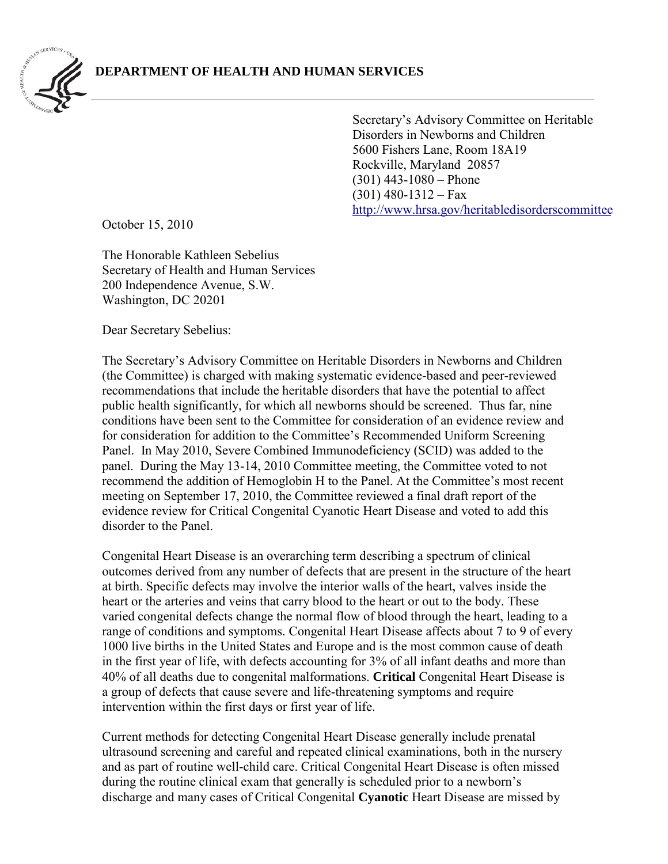

Secretary's Advisory Committee on Heritable Disorders in Newborns and Children 5600 Fishers Lane, Room 18A19 Rockville, Maryland 20857 (301) 443-1080 – Phone  $(301)$  480-1312 – Fax [http://www.hrsa.gov/heritabledisorderscomm](http://www.hrsa.gov/heritabledisorderscommittee)ittee

October 15, 2010

The Honorable Kathleen Sebelius Secretary of Health and Human Services 200 Independence Avenue, S.W. Washington, DC 20201

Dear Secretary Sebelius:

The Secretary's Advisory Committee on Heritable Disorders in Newborns and Children (the Committee) is charged with making systematic evidence-based and peer-reviewed recommendations that include the heritable disorders that have the potential to affect public health significantly, for which all newborns should be screened. Thus far, nine conditions have been sent to the Committee for consideration of an evidence review and for consideration for addition to the Committee's Recommended Uniform Screening Panel. In May 2010, Severe Combined Immunodeficiency (SCID) was added to the panel. During the May 13-14, 2010 Committee meeting, the Committee voted to not recommend the addition of Hemoglobin H to the Panel. At the Committee's most recent meeting on September 17, 2010, the Committee reviewed a final draft report of the evidence review for Critical Congenital Cyanotic Heart Disease and voted to add this disorder to the Panel.

Congenital Heart Disease is an overarching term describing a spectrum of clinical outcomes derived from any number of defects that are present in the structure of the heart at birth. Specific defects may involve the interior walls of the heart, valves inside the heart or the arteries and veins that carry blood to the heart or out to the body. These varied congenital defects change the normal flow of blood through the heart, leading to a range of conditions and symptoms. Congenital Heart Disease affects about 7 to 9 of every 1000 live births in the United States and Europe and is the most common cause of death in the first year of life, with defects accounting for 3% of all infant deaths and more than 40% of all deaths due to congenital malformations. **Critical** Congenital Heart Disease is a group of defects that cause severe and life-threatening symptoms and require intervention within the first days or first year of life.

Current methods for detecting Congenital Heart Disease generally include prenatal ultrasound screening and careful and repeated clinical examinations, both in the nursery and as part of routine well-child care. Critical Congenital Heart Disease is often missed during the routine clinical exam that generally is scheduled prior to a newborn's discharge and many cases of Critical Congenital **Cyanotic** Heart Disease are missed by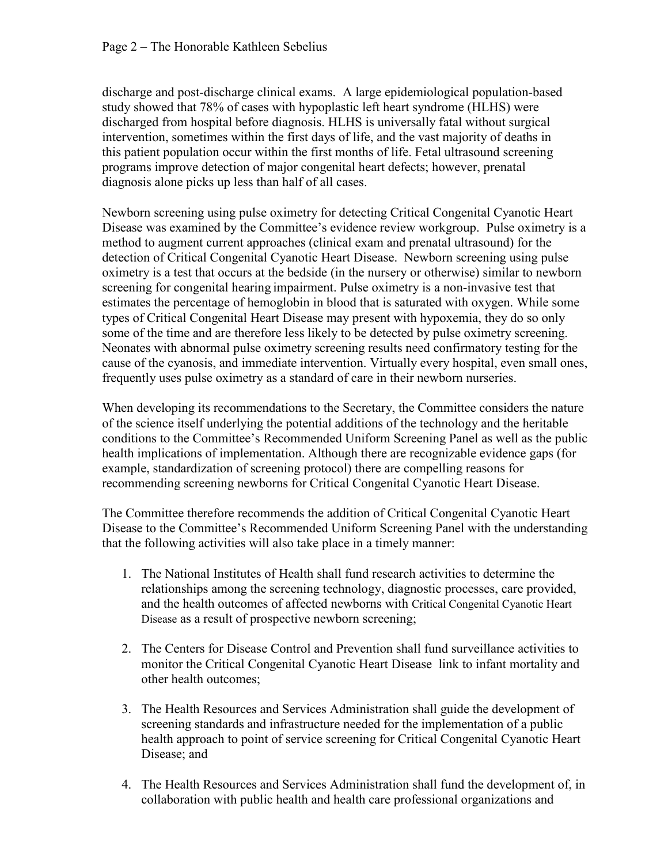discharge and post-discharge clinical exams. A large epidemiological population-based study showed that 78% of cases with hypoplastic left heart syndrome (HLHS) were discharged from hospital before diagnosis. HLHS is universally fatal without surgical intervention, sometimes within the first days of life, and the vast majority of deaths in this patient population occur within the first months of life. Fetal ultrasound screening programs improve detection of major congenital heart defects; however, prenatal diagnosis alone picks up less than half of all cases.

Newborn screening using pulse oximetry for detecting Critical Congenital Cyanotic Heart Disease was examined by the Committee's evidence review workgroup. Pulse oximetry is a method to augment current approaches (clinical exam and prenatal ultrasound) for the detection of Critical Congenital Cyanotic Heart Disease. Newborn screening using pulse oximetry is a test that occurs at the bedside (in the nursery or otherwise) similar to newborn screening for congenital hearing impairment. Pulse oximetry is a non-invasive test that estimates the percentage of hemoglobin in blood that is saturated with oxygen. While some types of Critical Congenital Heart Disease may present with hypoxemia, they do so only some of the time and are therefore less likely to be detected by pulse oximetry screening. Neonates with abnormal pulse oximetry screening results need confirmatory testing for the cause of the cyanosis, and immediate intervention. Virtually every hospital, even small ones, frequently uses pulse oximetry as a standard of care in their newborn nurseries.

When developing its recommendations to the Secretary, the Committee considers the nature of the science itself underlying the potential additions of the technology and the heritable conditions to the Committee's Recommended Uniform Screening Panel as well as the public health implications of implementation. Although there are recognizable evidence gaps (for example, standardization of screening protocol) there are compelling reasons for recommending screening newborns for Critical Congenital Cyanotic Heart Disease.

The Committee therefore recommends the addition of Critical Congenital Cyanotic Heart Disease to the Committee's Recommended Uniform Screening Panel with the understanding that the following activities will also take place in a timely manner:

- 1. The National Institutes of Health shall fund research activities to determine the relationships among the screening technology, diagnostic processes, care provided, and the health outcomes of affected newborns with Critical Congenital Cyanotic Heart Disease as a result of prospective newborn screening;
- 2. The Centers for Disease Control and Prevention shall fund surveillance activities to monitor the Critical Congenital Cyanotic Heart Disease link to infant mortality and other health outcomes;
- 3. The Health Resources and Services Administration shall guide the development of screening standards and infrastructure needed for the implementation of a public health approach to point of service screening for Critical Congenital Cyanotic Heart Disease; and
- 4. The Health Resources and Services Administration shall fund the development of, in collaboration with public health and health care professional organizations and